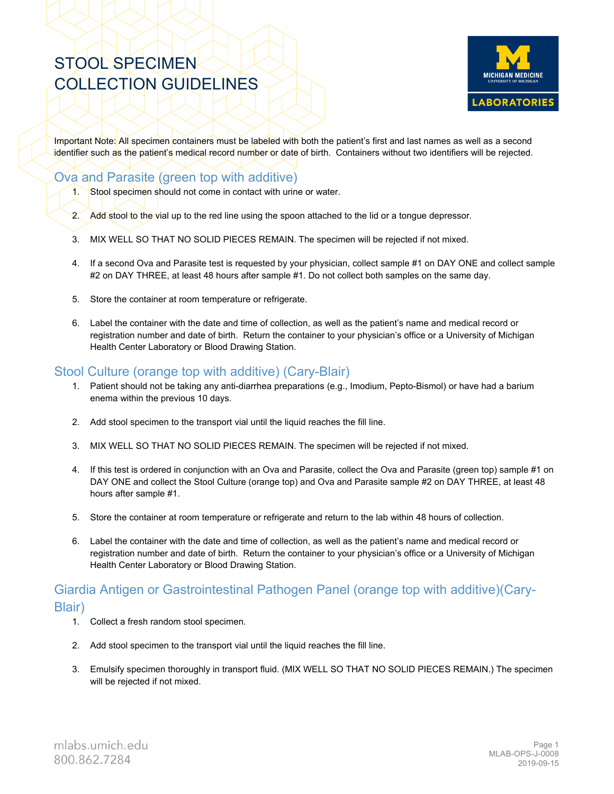# STOOL SPECIMEN COLLECTION GUIDELINES



Important Note: All specimen containers must be labeled with both the patient's first and last names as well as a second identifier such as the patient's medical record number or date of birth. Containers without two identifiers will be rejected.

### Ova and Parasite (green top with additive)

- 1. Stool specimen should not come in contact with urine or water.
- 2. Add stool to the vial up to the red line using the spoon attached to the lid or a tongue depressor.
- 3. MIX WELL SO THAT NO SOLID PIECES REMAIN. The specimen will be rejected if not mixed.
- 4. If a second Ova and Parasite test is requested by your physician, collect sample #1 on DAY ONE and collect sample #2 on DAY THREE, at least 48 hours after sample #1. Do not collect both samples on the same day.
- 5. Store the container at room temperature or refrigerate.
- 6. Label the container with the date and time of collection, as well as the patient's name and medical record or registration number and date of birth. Return the container to your physician's office or a University of Michigan Health Center Laboratory or Blood Drawing Station.

## Stool Culture (orange top with additive) (Cary-Blair)

- 1. Patient should not be taking any anti-diarrhea preparations (e.g., Imodium, Pepto-Bismol) or have had a barium enema within the previous 10 days.
- 2. Add stool specimen to the transport vial until the liquid reaches the fill line.
- 3. MIX WELL SO THAT NO SOLID PIECES REMAIN. The specimen will be rejected if not mixed.
- 4. If this test is ordered in conjunction with an Ova and Parasite, collect the Ova and Parasite (green top) sample #1 on DAY ONE and collect the Stool Culture (orange top) and Ova and Parasite sample #2 on DAY THREE, at least 48 hours after sample #1.
- 5. Store the container at room temperature or refrigerate and return to the lab within 48 hours of collection.
- 6. Label the container with the date and time of collection, as well as the patient's name and medical record or registration number and date of birth. Return the container to your physician's office or a University of Michigan Health Center Laboratory or Blood Drawing Station.

### Giardia Antigen or Gastrointestinal Pathogen Panel (orange top with additive)(Cary-Blair)

- 1. Collect a fresh random stool specimen.
- 2. Add stool specimen to the transport vial until the liquid reaches the fill line.
- 3. Emulsify specimen thoroughly in transport fluid. (MIX WELL SO THAT NO SOLID PIECES REMAIN.) The specimen will be rejected if not mixed.

mlabs.umich.edu 800.862.7284